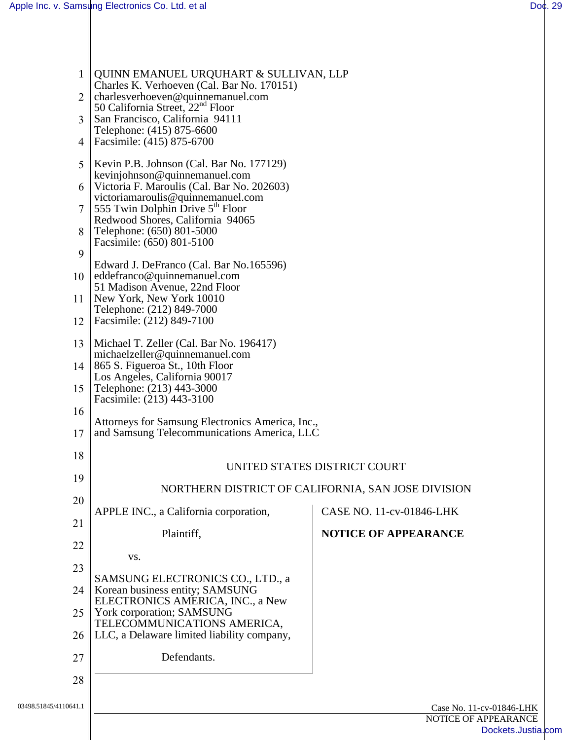| $\mathbf{1}$          | QUINN EMANUEL URQUHART & SULLIVAN, LLP<br>Charles K. Verhoeven (Cal. Bar No. 170151)                                    |                                            |  |
|-----------------------|-------------------------------------------------------------------------------------------------------------------------|--------------------------------------------|--|
| $\overline{2}$        | charlesverhoeven@quinnemanuel.com<br>50 California Street, 22 <sup>nd</sup> Floor                                       |                                            |  |
| 3                     | San Francisco, California 94111<br>Telephone: (415) 875-6600                                                            |                                            |  |
| 4                     | Facsimile: (415) 875-6700                                                                                               |                                            |  |
| 5                     | Kevin P.B. Johnson (Cal. Bar No. 177129)<br>kevinjohnson@quinnemanuel.com<br>Victoria F. Maroulis (Cal. Bar No. 202603) |                                            |  |
| 6<br>7                | victoriamaroulis@quinnemanuel.com<br>555 Twin Dolphin Drive $5th$ Floor                                                 |                                            |  |
| 8                     | Redwood Shores, California 94065<br>Telephone: (650) 801-5000                                                           |                                            |  |
| 9                     | Facsimile: (650) 801-5100                                                                                               |                                            |  |
| 10                    | Edward J. DeFranco (Cal. Bar No.165596)<br>eddefranco@quinnemanuel.com                                                  |                                            |  |
| 11                    | 51 Madison Avenue, 22nd Floor<br>New York, New York 10010                                                               |                                            |  |
| 12                    | Telephone: (212) 849-7000<br>Facsimile: (212) 849-7100                                                                  |                                            |  |
| 13                    | Michael T. Zeller (Cal. Bar No. 196417)                                                                                 |                                            |  |
| 14                    | michaelzeller@quinnemanuel.com<br>865 S. Figueroa St., 10th Floor                                                       |                                            |  |
| 15                    | Los Angeles, California 90017<br>Telephone: (213) 443-3000<br>Facsimile: (213) 443-3100                                 |                                            |  |
| 16                    | Attorneys for Samsung Electronics America, Inc.,                                                                        |                                            |  |
| 17                    | and Samsung Telecommunications America, LLC                                                                             |                                            |  |
| 18                    | UNITED STATES DISTRICT COURT                                                                                            |                                            |  |
| 19                    | NORTHERN DISTRICT OF CALIFORNIA, SAN JOSE DIVISION                                                                      |                                            |  |
| 20                    | APPLE INC., a California corporation,                                                                                   | CASE NO. 11-cv-01846-LHK                   |  |
| 21                    | Plaintiff,                                                                                                              | NOTICE OF APPEARANCE                       |  |
| 22<br>23              | VS.                                                                                                                     |                                            |  |
| 24                    | SAMSUNG ELECTRONICS CO., LTD., a<br>Korean business entity; SAMSUNG                                                     |                                            |  |
| 25                    | ELECTRONICS AMERICA, INC., a New<br>York corporation; SAMSUNG                                                           |                                            |  |
| 26                    | TELECOMMUNICATIONS AMERICA,<br>LLC, a Delaware limited liability company,                                               |                                            |  |
| 27                    | Defendants.                                                                                                             |                                            |  |
| 28                    |                                                                                                                         |                                            |  |
| 03498.51845/4110641.1 | Case No. 11-cv-01846-LHK                                                                                                |                                            |  |
|                       |                                                                                                                         | NOTICE OF APPEARANCE<br>Dockets.Justia.com |  |
|                       |                                                                                                                         |                                            |  |